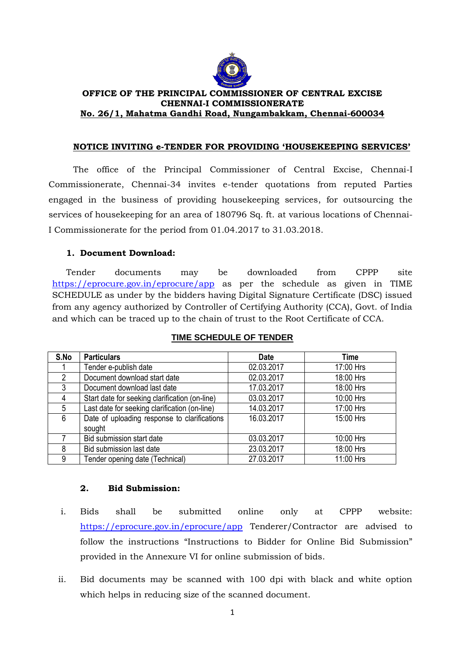

## **OFFICE OF THE PRINCIPAL COMMISSIONER OF CENTRAL EXCISE CHENNAI-I COMMISSIONERATE No. 26/1, Mahatma Gandhi Road, Nungambakkam, Chennai-600034**

### **NOTICE INVITING e-TENDER FOR PROVIDING 'HOUSEKEEPING SERVICES'**

The office of the Principal Commissioner of Central Excise, Chennai-I Commissionerate, Chennai-34 invites e-tender quotations from reputed Parties engaged in the business of providing housekeeping services, for outsourcing the services of housekeeping for an area of 180796 Sq. ft. at various locations of Chennai-I Commissionerate for the period from 01.04.2017 to 31.03.2018.

# **1. Document Download:**

Tender documents may be downloaded from CPPP site <https://eprocure.gov.in/eprocure/app> as per the schedule as given in TIME SCHEDULE as under by the bidders having Digital Signature Certificate (DSC) issued from any agency authorized by Controller of Certifying Authority (CCA), Govt. of India and which can be traced up to the chain of trust to the Root Certificate of CCA.

| S.No         | <b>Particulars</b>                             | <b>Date</b> | <b>Time</b> |
|--------------|------------------------------------------------|-------------|-------------|
|              | Tender e-publish date                          | 02.03.2017  | 17:00 Hrs   |
| 2            | Document download start date                   | 02.03.2017  | 18:00 Hrs   |
| $\mathbf{3}$ | Document download last date                    | 17.03.2017  | 18:00 Hrs   |
| 4            | Start date for seeking clarification (on-line) | 03.03.2017  | 10:00 Hrs   |
| 5            | Last date for seeking clarification (on-line)  | 14.03.2017  | 17:00 Hrs   |
| 6            | Date of uploading response to clarifications   | 16.03.2017  | 15:00 Hrs   |
|              | sought                                         |             |             |
|              | Bid submission start date                      | 03.03.2017  | 10:00 Hrs   |
| 8            | Bid submission last date                       | 23.03.2017  | 18:00 Hrs   |
| 9            | Tender opening date (Technical)                | 27.03.2017  | 11:00 Hrs   |

# **TIME SCHEDULE OF TENDER**

# **2. Bid Submission:**

- i. Bids shall be submitted online only at CPPP website: <https://eprocure.gov.in/eprocure/app> Tenderer/Contractor are advised to follow the instructions "Instructions to Bidder for Online Bid Submission" provided in the Annexure VI for online submission of bids.
- ii. Bid documents may be scanned with 100 dpi with black and white option which helps in reducing size of the scanned document.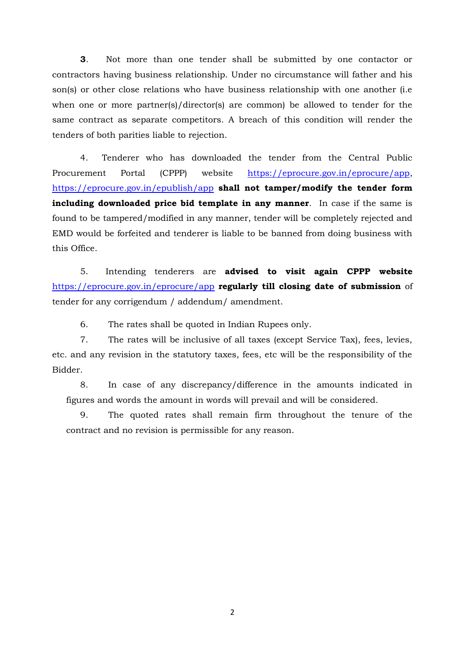**3**. Not more than one tender shall be submitted by one contactor or contractors having business relationship. Under no circumstance will father and his son(s) or other close relations who have business relationship with one another (i.e. when one or more partner(s)/director(s) are common) be allowed to tender for the same contract as separate competitors. A breach of this condition will render the tenders of both parities liable to rejection.

4. Tenderer who has downloaded the tender from the Central Public Procurement Portal (CPPP) website [https://eprocure.gov.in/eprocure/app,](https://eprocure.gov.in/eprocure/app) <https://eprocure.gov.in/epublish/app> **shall not tamper/modify the tender form including downloaded price bid template in any manner**. In case if the same is found to be tampered/modified in any manner, tender will be completely rejected and EMD would be forfeited and tenderer is liable to be banned from doing business with this Office.

5. Intending tenderers are **advised to visit again CPPP website** <https://eprocure.gov.in/eprocure/app> **regularly till closing date of submission** of tender for any corrigendum / addendum/ amendment.

6. The rates shall be quoted in Indian Rupees only.

7. The rates will be inclusive of all taxes (except Service Tax), fees, levies, etc. and any revision in the statutory taxes, fees, etc will be the responsibility of the Bidder.

8. In case of any discrepancy/difference in the amounts indicated in figures and words the amount in words will prevail and will be considered.

9. The quoted rates shall remain firm throughout the tenure of the contract and no revision is permissible for any reason.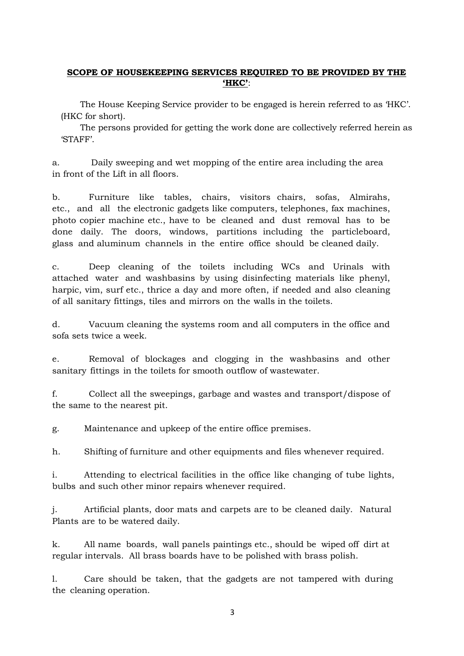# **SCOPE OF HOUSEKEEPING SERVICES REQUIRED TO BE PROVIDED BY THE 'HKC'**:

The House Keeping Service provider to be engaged is herein referred to as 'HKC'. (HKC for short).

The persons provided for getting the work done are collectively referred herein as 'STAFF'.

a. Daily sweeping and wet mopping of the entire area including the area in front of the Lift in all floors.

b. Furniture like tables, chairs, visitors chairs, sofas, Almirahs, etc., and all the electronic gadgets like computers, telephones, fax machines, photo copier machine etc., have to be cleaned and dust removal has to be done daily. The doors, windows, partitions including the particleboard, glass and aluminum channels in the entire office should be cleaned daily.

c. Deep cleaning of the toilets including WCs and Urinals with attached water and washbasins by using disinfecting materials like phenyl, harpic, vim, surf etc., thrice a day and more often, if needed and also cleaning of all sanitary fittings, tiles and mirrors on the walls in the toilets.

d. Vacuum cleaning the systems room and all computers in the office and sofa sets twice a week.

e. Removal of blockages and clogging in the washbasins and other sanitary fittings in the toilets for smooth outflow of wastewater.

f. Collect all the sweepings, garbage and wastes and transport/dispose of the same to the nearest pit.

g. Maintenance and upkeep of the entire office premises.

h. Shifting of furniture and other equipments and files whenever required.

i. Attending to electrical facilities in the office like changing of tube lights, bulbs and such other minor repairs whenever required.

j. Artificial plants, door mats and carpets are to be cleaned daily. Natural Plants are to be watered daily.

k. All name boards, wall panels paintings etc., should be wiped off dirt at regular intervals. All brass boards have to be polished with brass polish.

l. Care should be taken, that the gadgets are not tampered with during the cleaning operation.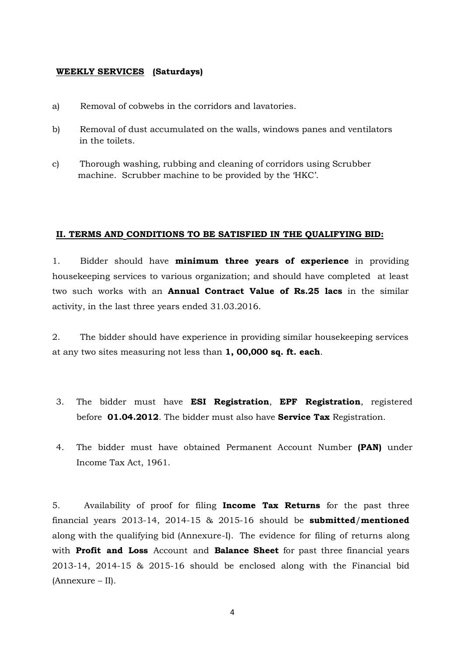#### **WEEKLY SERVICES (Saturdays)**

- a) Removal of cobwebs in the corridors and lavatories.
- b) Removal of dust accumulated on the walls, windows panes and ventilators in the toilets.
- c) Thorough washing, rubbing and cleaning of corridors using Scrubber machine. Scrubber machine to be provided by the 'HKC'.

### **II. TERMS AND CONDITIONS TO BE SATISFIED IN THE QUALIFYING BID:**

1. Bidder should have **minimum three years of experience** in providing housekeeping services to various organization; and should have completed at least two such works with an **Annual Contract Value of Rs.25 lacs** in the similar activity, in the last three years ended 31.03.2016.

2. The bidder should have experience in providing similar housekeeping services at any two sites measuring not less than **1, 00,000 sq. ft. each**.

- 3. The bidder must have **ESI Registration**, **EPF Registration**, registered before **01.04.2012**. The bidder must also have **Service Tax** Registration.
- 4. The bidder must have obtained Permanent Account Number **(PAN)** under Income Tax Act, 1961.

5. Availability of proof for filing **Income Tax Returns** for the past three financial years 2013-14, 2014-15 & 2015-16 should be **submitted**/**mentioned** along with the qualifying bid (Annexure-I). The evidence for filing of returns along with **Profit and Loss** Account and **Balance Sheet** for past three financial years 2013-14, 2014-15 & 2015-16 should be enclosed along with the Financial bid (Annexure – II).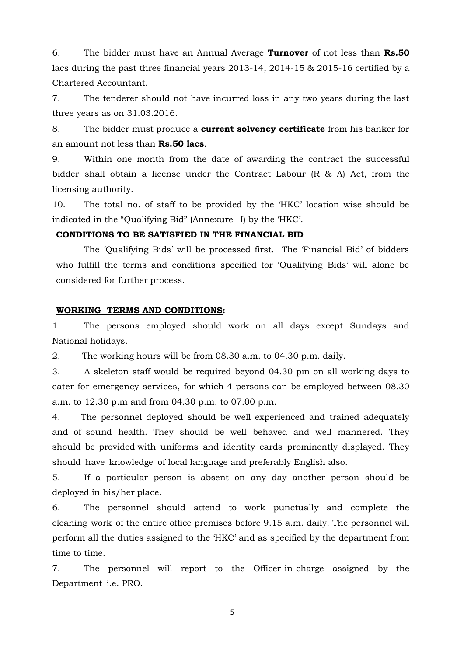6. The bidder must have an Annual Average **Turnover** of not less than **Rs.50** lacs during the past three financial years 2013-14, 2014-15 & 2015-16 certified by a Chartered Accountant.

7. The tenderer should not have incurred loss in any two years during the last three years as on 31.03.2016.

8. The bidder must produce a **current solvency certificate** from his banker for an amount not less than **Rs.50 lacs**.

9. Within one month from the date of awarding the contract the successful bidder shall obtain a license under the Contract Labour (R & A) Act, from the licensing authority.

10. The total no. of staff to be provided by the 'HKC' location wise should be indicated in the "Qualifying Bid" (Annexure –I) by the 'HKC'.

## **CONDITIONS TO BE SATISFIED IN THE FINANCIAL BID**

The 'Qualifying Bids' will be processed first. The 'Financial Bid' of bidders who fulfill the terms and conditions specified for 'Qualifying Bids' will alone be considered for further process.

#### **WORKING TERMS AND CONDITIONS:**

1. The persons employed should work on all days except Sundays and National holidays.

2. The working hours will be from 08.30 a.m. to 04.30 p.m. daily.

3. A skeleton staff would be required beyond 04.30 pm on all working days to cater for emergency services, for which 4 persons can be employed between 08.30 a.m. to 12.30 p.m and from 04.30 p.m. to 07.00 p.m.

4. The personnel deployed should be well experienced and trained adequately and of sound health. They should be well behaved and well mannered. They should be provided with uniforms and identity cards prominently displayed. They should have knowledge of local language and preferably English also.

5. If a particular person is absent on any day another person should be deployed in his/her place.

6. The personnel should attend to work punctually and complete the cleaning work of the entire office premises before 9.15 a.m. daily. The personnel will perform all the duties assigned to the 'HKC' and as specified by the department from time to time.

7. The personnel will report to the Officer-in-charge assigned by the Department i.e. PRO.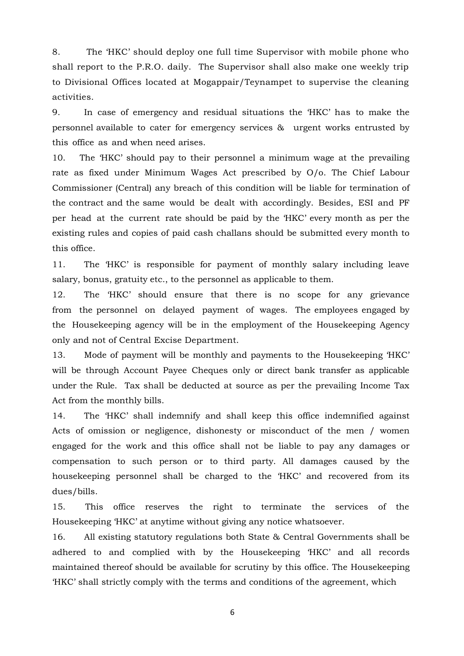8. The 'HKC' should deploy one full time Supervisor with mobile phone who shall report to the P.R.O. daily. The Supervisor shall also make one weekly trip to Divisional Offices located at Mogappair/Teynampet to supervise the cleaning activities.

9. In case of emergency and residual situations the 'HKC' has to make the personnel available to cater for emergency services & urgent works entrusted by this office as and when need arises.

10. The 'HKC' should pay to their personnel a minimum wage at the prevailing rate as fixed under Minimum Wages Act prescribed by O/o. The Chief Labour Commissioner (Central) any breach of this condition will be liable for termination of the contract and the same would be dealt with accordingly. Besides, ESI and PF per head at the current rate should be paid by the 'HKC' every month as per the existing rules and copies of paid cash challans should be submitted every month to this office.

11. The 'HKC' is responsible for payment of monthly salary including leave salary, bonus, gratuity etc., to the personnel as applicable to them.

12. The 'HKC' should ensure that there is no scope for any grievance from the personnel on delayed payment of wages. The employees engaged by the Housekeeping agency will be in the employment of the Housekeeping Agency only and not of Central Excise Department.

13. Mode of payment will be monthly and payments to the Housekeeping 'HKC' will be through Account Payee Cheques only or direct bank transfer as applicable under the Rule. Tax shall be deducted at source as per the prevailing Income Tax Act from the monthly bills.

14. The 'HKC' shall indemnify and shall keep this office indemnified against Acts of omission or negligence, dishonesty or misconduct of the men / women engaged for the work and this office shall not be liable to pay any damages or compensation to such person or to third party. All damages caused by the housekeeping personnel shall be charged to the 'HKC' and recovered from its dues/bills.

15. This office reserves the right to terminate the services of the Housekeeping 'HKC' at anytime without giving any notice whatsoever.

16. All existing statutory regulations both State & Central Governments shall be adhered to and complied with by the Housekeeping 'HKC' and all records maintained thereof should be available for scrutiny by this office. The Housekeeping 'HKC' shall strictly comply with the terms and conditions of the agreement, which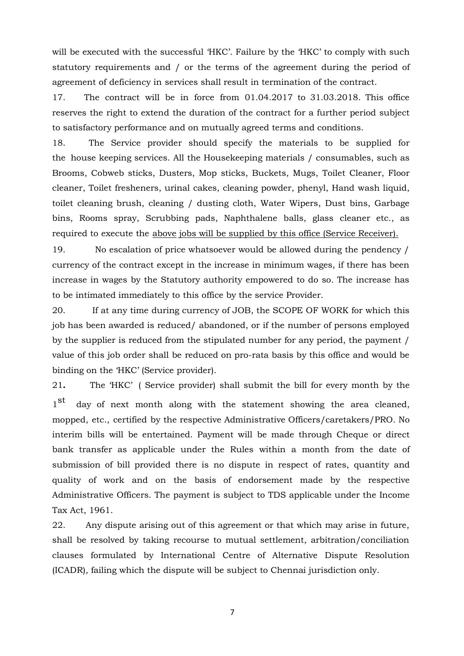will be executed with the successful 'HKC'. Failure by the 'HKC' to comply with such statutory requirements and / or the terms of the agreement during the period of agreement of deficiency in services shall result in termination of the contract.

17. The contract will be in force from 01.04.2017 to 31.03.2018. This office reserves the right to extend the duration of the contract for a further period subject to satisfactory performance and on mutually agreed terms and conditions.

18. The Service provider should specify the materials to be supplied for the house keeping services. All the Housekeeping materials / consumables, such as Brooms, Cobweb sticks, Dusters, Mop sticks, Buckets, Mugs, Toilet Cleaner, Floor cleaner, Toilet fresheners, urinal cakes, cleaning powder, phenyl, Hand wash liquid, toilet cleaning brush, cleaning / dusting cloth, Water Wipers, Dust bins, Garbage bins, Rooms spray, Scrubbing pads, Naphthalene balls, glass cleaner etc., as required to execute the above jobs will be supplied by this office (Service Receiver).

19. No escalation of price whatsoever would be allowed during the pendency / currency of the contract except in the increase in minimum wages, if there has been increase in wages by the Statutory authority empowered to do so. The increase has to be intimated immediately to this office by the service Provider.

20. If at any time during currency of JOB, the SCOPE OF WORK for which this job has been awarded is reduced/ abandoned, or if the number of persons employed by the supplier is reduced from the stipulated number for any period, the payment / value of this job order shall be reduced on pro-rata basis by this office and would be binding on the 'HKC' (Service provider).

21**.** The 'HKC' ( Service provider) shall submit the bill for every month by the  $1<sub>st</sub>$ day of next month along with the statement showing the area cleaned, mopped, etc., certified by the respective Administrative Officers/caretakers/PRO. No interim bills will be entertained. Payment will be made through Cheque or direct bank transfer as applicable under the Rules within a month from the date of submission of bill provided there is no dispute in respect of rates, quantity and quality of work and on the basis of endorsement made by the respective Administrative Officers. The payment is subject to TDS applicable under the Income Tax Act, 1961.

22. Any dispute arising out of this agreement or that which may arise in future, shall be resolved by taking recourse to mutual settlement, arbitration/conciliation clauses formulated by International Centre of Alternative Dispute Resolution (ICADR), failing which the dispute will be subject to Chennai jurisdiction only.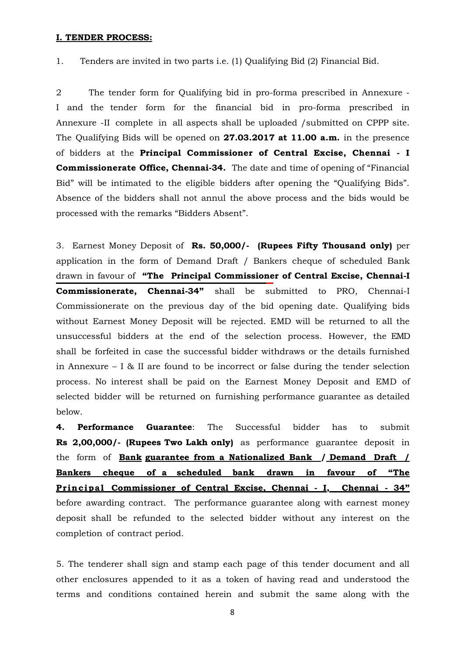#### **I. TENDER PROCESS:**

1. Tenders are invited in two parts i.e. (1) Qualifying Bid (2) Financial Bid.

2 The tender form for Qualifying bid in pro-forma prescribed in Annexure - I and the tender form for the financial bid in pro-forma prescribed in Annexure -II complete in all aspects shall be uploaded /submitted on CPPP site. The Qualifying Bids will be opened on **27.03.2017 at 11.00 a.m.** in the presence of bidders at the **Principal Commissioner of Central Excise, Chennai - I Commissionerate Office, Chennai-34.** The date and time of opening of "Financial Bid" will be intimated to the eligible bidders after opening the "Qualifying Bids". Absence of the bidders shall not annul the above process and the bids would be processed with the remarks "Bidders Absent".

3. Earnest Money Deposit of **Rs. 50,000/- (Rupees Fifty Thousand only)** per application in the form of Demand Draft / Bankers cheque of scheduled Bank drawn in favour of **"The Principal Commissioner of Central Excise, Chennai-I Commissionerate, Chennai-34"** shall be submitted to PRO, Chennai-I Commissionerate on the previous day of the bid opening date. Qualifying bids without Earnest Money Deposit will be rejected. EMD will be returned to all the unsuccessful bidders at the end of the selection process. However, the EMD shall be forfeited in case the successful bidder withdraws or the details furnished in Annexure  $- I \& II$  are found to be incorrect or false during the tender selection process. No interest shall be paid on the Earnest Money Deposit and EMD of selected bidder will be returned on furnishing performance guarantee as detailed below.

**4. Performance Guarantee**: The Successful bidder has to submit **Rs 2,00,000/- (Rupees Two Lakh only)** as performance guarantee deposit in the form of **Bank guarantee from a Nationalized Bank / Demand Draft / Bankers cheque of a scheduled bank drawn in favour of "The Pr inc ipa l Commissioner of Central Excise, Chennai - I, Chennai - 34"**  before awarding contract. The performance guarantee along with earnest money deposit shall be refunded to the selected bidder without any interest on the completion of contract period.

5. The tenderer shall sign and stamp each page of this tender document and all other enclosures appended to it as a token of having read and understood the terms and conditions contained herein and submit the same along with the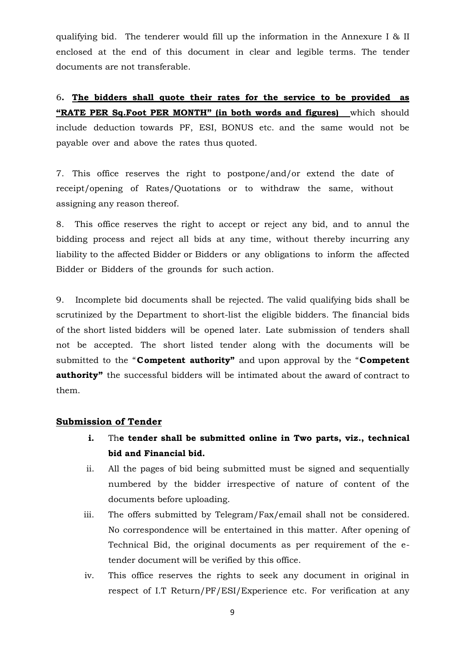qualifying bid. The tenderer would fill up the information in the Annexure I & II enclosed at the end of this document in clear and legible terms. The tender documents are not transferable.

6**. The bidders shall quote their rates for the service to be provided as "RATE PER Sq.Foot PER MONTH" (in both words and figures)** which should include deduction towards PF, ESI, BONUS etc. and the same would not be payable over and above the rates thus quoted.

7. This office reserves the right to postpone/and/or extend the date of receipt/opening of Rates/Quotations or to withdraw the same, without assigning any reason thereof.

8. This office reserves the right to accept or reject any bid, and to annul the bidding process and reject all bids at any time, without thereby incurring any liability to the affected Bidder or Bidders or any obligations to inform the affected Bidder or Bidders of the grounds for such action.

9. Incomplete bid documents shall be rejected. The valid qualifying bids shall be scrutinized by the Department to short-list the eligible bidders. The financial bids of the short listed bidders will be opened later. Late submission of tenders shall not be accepted. The short listed tender along with the documents will be submitted to the "**Competent authority"** and upon approval by the "**Competent authority"** the successful bidders will be intimated about the award of contract to them.

### **Submission of Tender**

- **i.** Th**e tender shall be submitted online in Two parts, viz., technical bid and Financial bid.**
- ii. All the pages of bid being submitted must be signed and sequentially numbered by the bidder irrespective of nature of content of the documents before uploading.
- iii. The offers submitted by Telegram/Fax/email shall not be considered. No correspondence will be entertained in this matter. After opening of Technical Bid, the original documents as per requirement of the etender document will be verified by this office.
- iv. This office reserves the rights to seek any document in original in respect of I.T Return/PF/ESI/Experience etc. For verification at any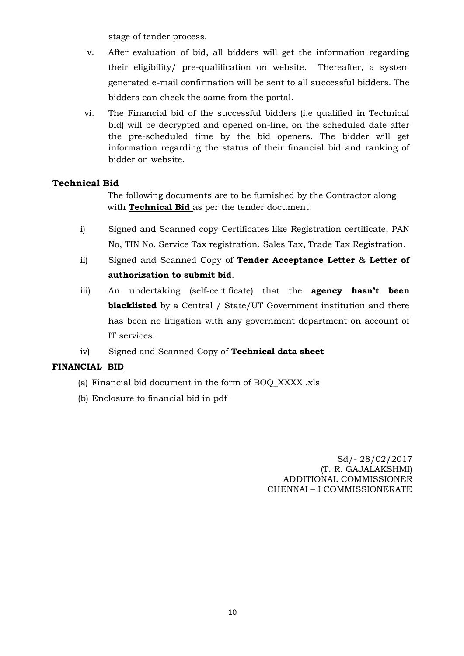stage of tender process.

- v. After evaluation of bid, all bidders will get the information regarding their eligibility/ pre-qualification on website. Thereafter, a system generated e-mail confirmation will be sent to all successful bidders. The bidders can check the same from the portal.
- vi. The Financial bid of the successful bidders (i.e qualified in Technical bid) will be decrypted and opened on-line, on the scheduled date after the pre-scheduled time by the bid openers. The bidder will get information regarding the status of their financial bid and ranking of bidder on website.

# **Technical Bid**

 The following documents are to be furnished by the Contractor along with **Technical Bid** as per the tender document:

- i) Signed and Scanned copy Certificates like Registration certificate, PAN No, TIN No, Service Tax registration, Sales Tax, Trade Tax Registration.
- ii) Signed and Scanned Copy of **Tender Acceptance Letter** & **Letter of authorization to submit bid**.
- iii) An undertaking (self-certificate) that the **agency hasn't been blacklisted** by a Central / State/UT Government institution and there has been no litigation with any government department on account of IT services.
- iv) Signed and Scanned Copy of **Technical data sheet**

# **FINANCIAL BID**

- (a) Financial bid document in the form of BOQ\_XXXX .xls
- (b) Enclosure to financial bid in pdf

Sd/- 28/02/2017 (T. R. GAJALAKSHMI) ADDITIONAL COMMISSIONER CHENNAI – I COMMISSIONERATE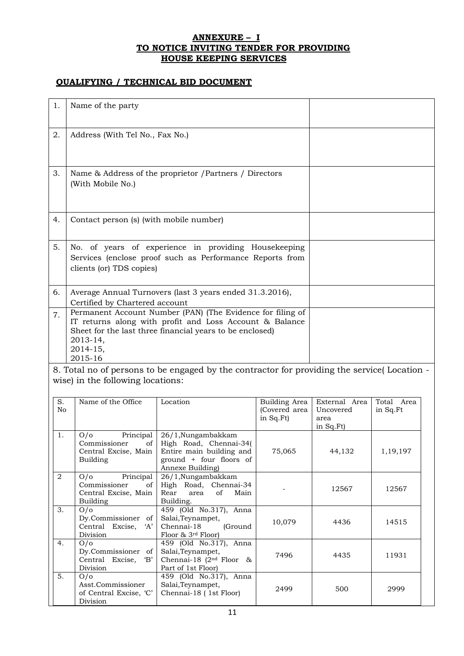### **ANNEXURE – I TO NOTICE INVITING TENDER FOR PROVIDING HOUSE KEEPING SERVICES**

### **QUALIFYING / TECHNICAL BID DOCUMENT**

| 1. | Name of the party                                                                                                                                                                                                    |  |
|----|----------------------------------------------------------------------------------------------------------------------------------------------------------------------------------------------------------------------|--|
| 2. | Address (With Tel No., Fax No.)                                                                                                                                                                                      |  |
| 3. | Name & Address of the proprietor / Partners / Directors<br>(With Mobile No.)                                                                                                                                         |  |
| 4. | Contact person (s) (with mobile number)                                                                                                                                                                              |  |
| 5. | No. of years of experience in providing Housekeeping<br>Services (enclose proof such as Performance Reports from<br>clients (or) TDS copies)                                                                         |  |
| 6. | Average Annual Turnovers (last 3 years ended 31.3.2016),<br>Certified by Chartered account                                                                                                                           |  |
| 7. | Permanent Account Number (PAN) (The Evidence for filing of<br>IT returns along with profit and Loss Account & Balance<br>Sheet for the last three financial years to be enclosed)<br>2013-14,<br>2014-15,<br>2015-16 |  |

8. Total no of persons to be engaged by the contractor for providing the service( Location wise) in the following locations:

| S.<br>No | Name of the Office                                                                       | Location                                                                                                                | Building Area<br>(Covered area<br>in Sq.Ft) | External Area<br>Uncovered<br>area | Total Area<br>in Sq.Ft |
|----------|------------------------------------------------------------------------------------------|-------------------------------------------------------------------------------------------------------------------------|---------------------------------------------|------------------------------------|------------------------|
|          |                                                                                          |                                                                                                                         |                                             | in Sq.Ft)                          |                        |
| 1.       | Principal<br>O/O<br>Commissioner<br>$of \mid$<br>Central Excise, Main<br><b>Building</b> | 26/1, Nungambakkam<br>High Road, Chennai-34(<br>Entire main building and<br>ground + four floors of<br>Annexe Building) | 75,065                                      | 44,132                             | 1, 19, 197             |
| 2        | Principal<br>O/O<br>Commissioner<br>of<br>Central Excise, Main<br><b>Building</b>        | 26/1, Nungambakkam<br>High Road, Chennai-34<br>Rear area of<br>Main<br>Building.                                        |                                             | 12567                              | 12567                  |
| 3.       | O/O<br>Dy.Commissioner of<br>Central Excise,<br>A'<br>Division                           | 459 (Old No.317), Anna<br>Salai, Teynampet,<br>Chennai-18 (Ground<br>Floor & $3rd$ Floor)                               | 10,079                                      | 4436                               | 14515                  |
| 4.       | O/O<br>Dy.Commissioner<br>of<br>Central Excise,<br>$\mathbf{B}'$<br>Division             | 459 (Old No.317), Anna<br>Salai, Teynampet,<br>Chennai-18 ( $2nd$ Floor &<br>Part of 1st Floor)                         | 7496                                        | 4435                               | 11931                  |
| 5.       | O/O<br>Asst.Commissioner<br>of Central Excise, 'C'<br>Division                           | 459 (Old No.317), Anna<br>Salai, Teynampet,<br>Chennai-18 (1st Floor)                                                   | 2499                                        | 500                                | 2999                   |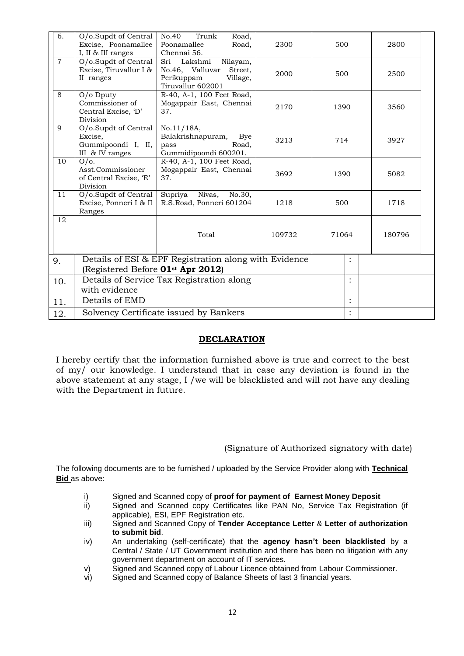| 6.             | O/o.Supdt of Central<br>Excise, Poonamallee<br>I, II & III ranges                                      | No.40<br>Trunk<br>Road,<br>Poonamallee<br>Road,<br>Chennai 56.                                       | 2300   | 500   |                      | 2800   |  |
|----------------|--------------------------------------------------------------------------------------------------------|------------------------------------------------------------------------------------------------------|--------|-------|----------------------|--------|--|
| $\overline{7}$ | O/o.Supdt of Central<br>Excise, Tiruvallur I &<br>II ranges                                            | Sri Lakshmi<br>Nilayam,<br>No.46, Valluvar<br>Street,<br>Perikuppam<br>Village,<br>Tiruvallur 602001 | 2000   | 500   |                      | 2500   |  |
| 8              | O/o Dputy<br>Commissioner of<br>Central Excise, 'D'<br>Division                                        | R-40, A-1, 100 Feet Road,<br>Mogappair East, Chennai<br>37.                                          | 2170   | 1390  |                      | 3560   |  |
| 9              | O/o.Supdt of Central<br>Excise,<br>Gummipoondi I, II,<br>III & IV ranges                               | No.11/18A,<br>Balakrishnapuram,<br>Bye<br>Road,<br>pass<br>Gummidipoondi 600201.                     | 3213   | 714   |                      | 3927   |  |
| 10             | $O/O$ .<br>Asst.Commissioner<br>of Central Excise, 'E'<br>Division                                     | R-40, A-1, 100 Feet Road,<br>Mogappair East, Chennai<br>37.                                          | 3692   | 1390  |                      | 5082   |  |
| 11             | O/o.Supdt of Central<br>Excise, Ponneri I & II<br>Ranges                                               | Supriya<br>Nivas,<br>No.30,<br>R.S.Road, Ponneri 601204                                              | 1218   | 500   |                      | 1718   |  |
| 12             |                                                                                                        | Total                                                                                                | 109732 | 71064 |                      | 180796 |  |
| 9.             | Details of ESI & EPF Registration along with Evidence<br>(Registered Before 01 <sup>st</sup> Apr 2012) |                                                                                                      |        |       | :                    |        |  |
| 10.            | Details of Service Tax Registration along<br>with evidence                                             |                                                                                                      |        |       | $\bullet$            |        |  |
| 11.            | Details of EMD                                                                                         |                                                                                                      |        |       | $\ddot{\phantom{0}}$ |        |  |
| 12.            | Solvency Certificate issued by Bankers                                                                 |                                                                                                      |        |       | $\ddot{\phantom{0}}$ |        |  |

### **DECLARATION**

I hereby certify that the information furnished above is true and correct to the best of my/ our knowledge. I understand that in case any deviation is found in the above statement at any stage, I /we will be blacklisted and will not have any dealing with the Department in future.

(Signature of Authorized signatory with date)

The following documents are to be furnished / uploaded by the Service Provider along with **Technical Bid** as above:

- i) Signed and Scanned copy of **proof for payment of Earnest Money Deposit**
- ii) Signed and Scanned copy Certificates like PAN No, Service Tax Registration (if applicable), ESI, EPF Registration etc.
- iii) Signed and Scanned Copy of **Tender Acceptance Letter** & **Letter of authorization to submit bid**.
- iv) An undertaking (self-certificate) that the **agency hasn't been blacklisted** by a Central / State / UT Government institution and there has been no litigation with any government department on account of IT services.
- v) Signed and Scanned copy of Labour Licence obtained from Labour Commissioner.
- vi) Signed and Scanned copy of Balance Sheets of last 3 financial years.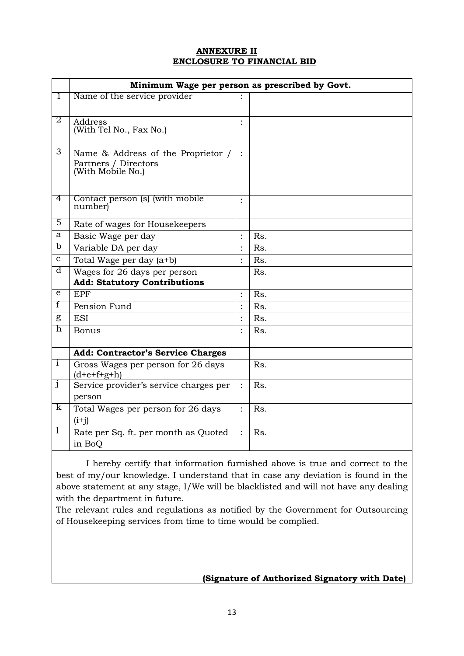### **ANNEXURE II ENCLOSURE TO FINANCIAL BID**

|              | Minimum Wage per person as prescribed by Govt.      |                |     |  |  |  |
|--------------|-----------------------------------------------------|----------------|-----|--|--|--|
| T            | Name of the service provider                        |                |     |  |  |  |
|              |                                                     |                |     |  |  |  |
| 2            | Address                                             |                |     |  |  |  |
|              | (With Tel No., Fax No.)                             |                |     |  |  |  |
| 3            | Name & Address of the Proprietor /                  | $\ddot{\cdot}$ |     |  |  |  |
|              | Partners / Directors                                |                |     |  |  |  |
|              | (With Mobile No.)                                   |                |     |  |  |  |
|              |                                                     |                |     |  |  |  |
| 4            | Contact person (s) (with mobile                     |                |     |  |  |  |
|              | number)                                             |                |     |  |  |  |
| 5            | Rate of wages for Housekeepers                      |                |     |  |  |  |
| a            | Basic Wage per day                                  | $\ddot{\cdot}$ | Rs. |  |  |  |
| b            | Variable DA per day                                 |                | Rs. |  |  |  |
| C            | Total Wage per day (a <sup>+b)</sup>                |                | Rs. |  |  |  |
| d            | Wages for 26 days per person                        |                | Rs. |  |  |  |
|              | <b>Add: Statutory Contributions</b>                 |                |     |  |  |  |
| e            | <b>EPF</b>                                          | $\ddot{\cdot}$ | Rs. |  |  |  |
| f            | Pension Fund                                        |                | Rs. |  |  |  |
| g            | <b>ESI</b>                                          |                | Rs. |  |  |  |
| h            | <b>Bonus</b>                                        |                | Rs. |  |  |  |
|              |                                                     |                |     |  |  |  |
|              | <b>Add: Contractor's Service Charges</b>            |                |     |  |  |  |
| $\mathbf{i}$ | Gross Wages per person for 26 days<br>$(d+e+f+g+h)$ |                | Rs. |  |  |  |
| $\mathbf{J}$ | Service provider's service charges per              |                | Rs. |  |  |  |
|              | person                                              |                |     |  |  |  |
| k            | Total Wages per person for 26 days                  | $\ddot{\cdot}$ | Rs. |  |  |  |
|              | $(i+j)$                                             |                |     |  |  |  |
| $\perp$      | Rate per Sq. ft. per month as Quoted                |                | Rs. |  |  |  |
|              | in BoQ                                              |                |     |  |  |  |

 I hereby certify that information furnished above is true and correct to the best of my/our knowledge. I understand that in case any deviation is found in the above statement at any stage, I/We will be blacklisted and will not have any dealing with the department in future.

The relevant rules and regulations as notified by the Government for Outsourcing of Housekeeping services from time to time would be complied.

# **(Signature of Authorized Signatory with Date)**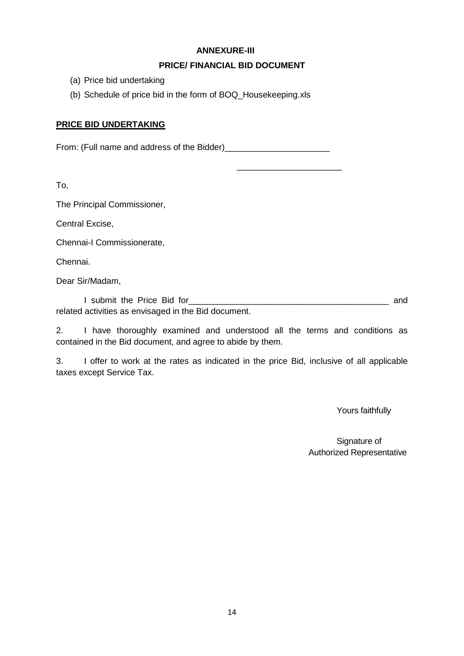# **ANNEXURE-III**

# **PRICE/ FINANCIAL BID DOCUMENT**

 $\frac{1}{2}$  ,  $\frac{1}{2}$  ,  $\frac{1}{2}$  ,  $\frac{1}{2}$  ,  $\frac{1}{2}$  ,  $\frac{1}{2}$  ,  $\frac{1}{2}$  ,  $\frac{1}{2}$  ,  $\frac{1}{2}$  ,  $\frac{1}{2}$  ,  $\frac{1}{2}$  ,  $\frac{1}{2}$  ,  $\frac{1}{2}$  ,  $\frac{1}{2}$  ,  $\frac{1}{2}$  ,  $\frac{1}{2}$  ,  $\frac{1}{2}$  ,  $\frac{1}{2}$  ,  $\frac{1$ 

- (a) Price bid undertaking
- (b) Schedule of price bid in the form of BOQ\_Housekeeping.xls

### **PRICE BID UNDERTAKING**

From: (Full name and address of the Bidder)\_\_\_\_\_\_\_\_\_\_\_\_\_\_\_\_\_\_\_\_\_\_

To,

The Principal Commissioner,

Central Excise,

Chennai-I Commissionerate,

Chennai.

Dear Sir/Madam,

I submit the Price Bid for\_\_\_\_\_\_\_\_\_\_\_\_\_\_\_\_\_\_\_\_\_\_\_\_\_\_\_\_\_\_\_\_\_\_\_\_\_\_\_\_\_\_ and related activities as envisaged in the Bid document.

2. I have thoroughly examined and understood all the terms and conditions as contained in the Bid document, and agree to abide by them.

3. I offer to work at the rates as indicated in the price Bid, inclusive of all applicable taxes except Service Tax.

Yours faithfully

Signature of Authorized Representative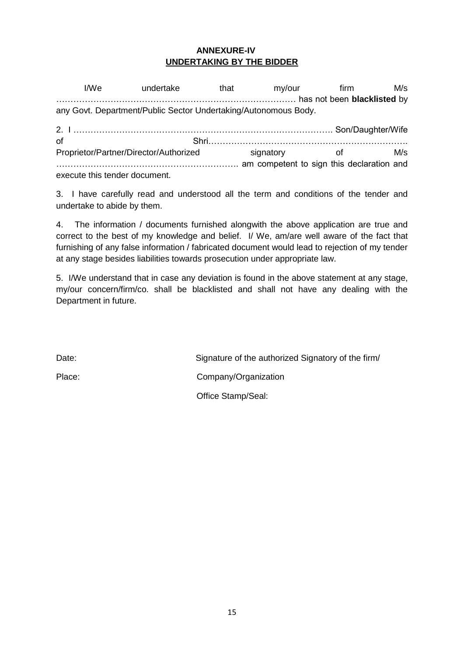# **ANNEXURE-IV UNDERTAKING BY THE BIDDER**

I/We undertake that my/our firm M/s ………………………………………………………………………… has not been **blacklisted** by any Govt. Department/Public Sector Undertaking/Autonomous Body. 2. I ………………………………………………………………………………. Son/Daughter/Wife of Shri……………………………………………………………. Proprietor/Partner/Director/Authorized signatory of M/s ………………………………………………………. am competent to sign this declaration and execute this tender document.

3. I have carefully read and understood all the term and conditions of the tender and undertake to abide by them.

4. The information / documents furnished alongwith the above application are true and correct to the best of my knowledge and belief. I/ We, am/are well aware of the fact that furnishing of any false information / fabricated document would lead to rejection of my tender at any stage besides liabilities towards prosecution under appropriate law.

5. I/We understand that in case any deviation is found in the above statement at any stage, my/our concern/firm/co. shall be blacklisted and shall not have any dealing with the Department in future.

Date: Date: Signature of the authorized Signatory of the firm/ Place: Company/Organization Office Stamp/Seal: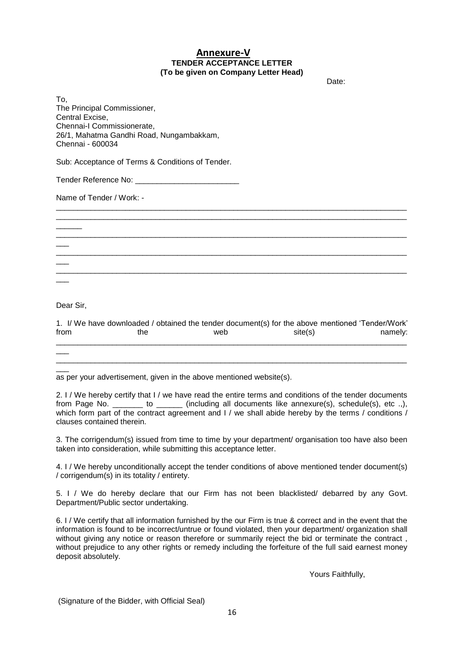#### **Annexure-V TENDER ACCEPTANCE LETTER (To be given on Company Letter Head)**

discussion of the contract of the contract of the contract of the contract of the contract of the contract of the contract of the contract of the contract of the contract of the contract of the contract of the contract of

To, The Principal Commissioner, Central Excise, Chennai-I Commissionerate, 26/1, Mahatma Gandhi Road, Nungambakkam, Chennai - 600034

Sub: Acceptance of Terms & Conditions of Tender.

Tender Reference No: \_\_\_\_\_\_\_\_\_\_\_\_\_\_\_\_\_\_\_\_\_\_\_\_

Name of Tender / Work: -

Dear Sir,

 $\overline{\phantom{a}}$ 

 $\overline{\phantom{a}}$ 

 $\overline{\phantom{a}}$ 

 $\overline{\phantom{a}}$ 

 $\overline{\phantom{a}}$ 

|      | 1. I/ We have downloaded / obtained the tender document(s) for the above mentioned 'Tender/Work' |     |         |         |
|------|--------------------------------------------------------------------------------------------------|-----|---------|---------|
| from | the                                                                                              | web | site(s) | namely: |
|      |                                                                                                  |     |         |         |

\_\_\_\_\_\_\_\_\_\_\_\_\_\_\_\_\_\_\_\_\_\_\_\_\_\_\_\_\_\_\_\_\_\_\_\_\_\_\_\_\_\_\_\_\_\_\_\_\_\_\_\_\_\_\_\_\_\_\_\_\_\_\_\_\_\_\_\_\_\_\_\_\_\_\_\_\_\_\_\_\_

\_\_\_\_\_\_\_\_\_\_\_\_\_\_\_\_\_\_\_\_\_\_\_\_\_\_\_\_\_\_\_\_\_\_\_\_\_\_\_\_\_\_\_\_\_\_\_\_\_\_\_\_\_\_\_\_\_\_\_\_\_\_\_\_\_\_\_\_\_\_\_\_\_\_\_\_\_\_\_\_\_ \_\_\_\_\_\_\_\_\_\_\_\_\_\_\_\_\_\_\_\_\_\_\_\_\_\_\_\_\_\_\_\_\_\_\_\_\_\_\_\_\_\_\_\_\_\_\_\_\_\_\_\_\_\_\_\_\_\_\_\_\_\_\_\_\_\_\_\_\_\_\_\_\_\_\_\_\_\_\_\_\_

\_\_\_\_\_\_\_\_\_\_\_\_\_\_\_\_\_\_\_\_\_\_\_\_\_\_\_\_\_\_\_\_\_\_\_\_\_\_\_\_\_\_\_\_\_\_\_\_\_\_\_\_\_\_\_\_\_\_\_\_\_\_\_\_\_\_\_\_\_\_\_\_\_\_\_\_\_\_\_\_\_

\_\_\_\_\_\_\_\_\_\_\_\_\_\_\_\_\_\_\_\_\_\_\_\_\_\_\_\_\_\_\_\_\_\_\_\_\_\_\_\_\_\_\_\_\_\_\_\_\_\_\_\_\_\_\_\_\_\_\_\_\_\_\_\_\_\_\_\_\_\_\_\_\_\_\_\_\_\_\_\_\_

\_\_\_\_\_\_\_\_\_\_\_\_\_\_\_\_\_\_\_\_\_\_\_\_\_\_\_\_\_\_\_\_\_\_\_\_\_\_\_\_\_\_\_\_\_\_\_\_\_\_\_\_\_\_\_\_\_\_\_\_\_\_\_\_\_\_\_\_\_\_\_\_\_\_\_\_\_\_\_\_\_

 $\overline{\phantom{a}}$ as per your advertisement, given in the above mentioned website(s).

2. I / We hereby certify that I / we have read the entire terms and conditions of the tender documents from Page No. \_\_\_\_\_\_\_ to \_\_\_\_\_\_ (including all documents like annexure(s), schedule(s), etc .,), which form part of the contract agreement and I / we shall abide hereby by the terms / conditions / clauses contained therein.

3. The corrigendum(s) issued from time to time by your department/ organisation too have also been taken into consideration, while submitting this acceptance letter.

4. I / We hereby unconditionally accept the tender conditions of above mentioned tender document(s) / corrigendum(s) in its totality / entirety.

5. I / We do hereby declare that our Firm has not been blacklisted/ debarred by any Govt. Department/Public sector undertaking.

6. I / We certify that all information furnished by the our Firm is true & correct and in the event that the information is found to be incorrect/untrue or found violated, then your department/ organization shall without giving any notice or reason therefore or summarily reject the bid or terminate the contract, without prejudice to any other rights or remedy including the forfeiture of the full said earnest money deposit absolutely.

Yours Faithfully,

(Signature of the Bidder, with Official Seal)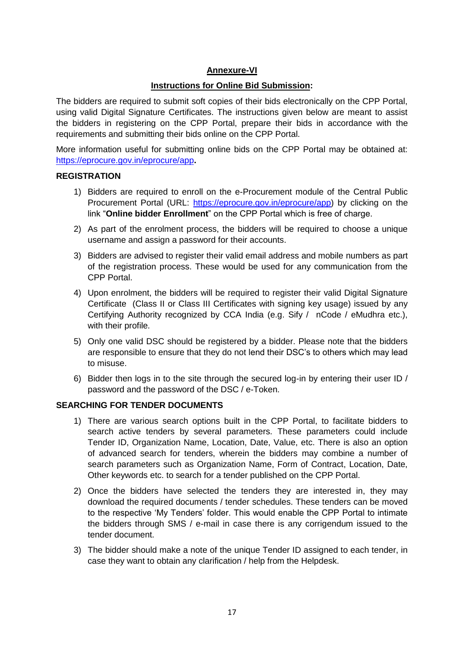# **Annexure-VI**

# **Instructions for Online Bid Submission:**

The bidders are required to submit soft copies of their bids electronically on the CPP Portal, using valid Digital Signature Certificates. The instructions given below are meant to assist the bidders in registering on the CPP Portal, prepare their bids in accordance with the requirements and submitting their bids online on the CPP Portal.

More information useful for submitting online bids on the CPP Portal may be obtained at: <https://eprocure.gov.in/eprocure/app>**.**

### **REGISTRATION**

- 1) Bidders are required to enroll on the e-Procurement module of the Central Public Procurement Portal (URL: [https://eprocure.gov.in/eprocure/app\)](https://eprocure.gov.in/eprocure/app) by clicking on the link "**Online bidder Enrollment**" on the CPP Portal which is free of charge.
- 2) As part of the enrolment process, the bidders will be required to choose a unique username and assign a password for their accounts.
- 3) Bidders are advised to register their valid email address and mobile numbers as part of the registration process. These would be used for any communication from the CPP Portal.
- 4) Upon enrolment, the bidders will be required to register their valid Digital Signature Certificate (Class II or Class III Certificates with signing key usage) issued by any Certifying Authority recognized by CCA India (e.g. Sify / nCode / eMudhra etc.), with their profile.
- 5) Only one valid DSC should be registered by a bidder. Please note that the bidders are responsible to ensure that they do not lend their DSC's to others which may lead to misuse.
- 6) Bidder then logs in to the site through the secured log-in by entering their user ID / password and the password of the DSC / e-Token.

### **SEARCHING FOR TENDER DOCUMENTS**

- 1) There are various search options built in the CPP Portal, to facilitate bidders to search active tenders by several parameters. These parameters could include Tender ID, Organization Name, Location, Date, Value, etc. There is also an option of advanced search for tenders, wherein the bidders may combine a number of search parameters such as Organization Name, Form of Contract, Location, Date, Other keywords etc. to search for a tender published on the CPP Portal.
- 2) Once the bidders have selected the tenders they are interested in, they may download the required documents / tender schedules. These tenders can be moved to the respective 'My Tenders' folder. This would enable the CPP Portal to intimate the bidders through SMS / e-mail in case there is any corrigendum issued to the tender document.
- 3) The bidder should make a note of the unique Tender ID assigned to each tender, in case they want to obtain any clarification / help from the Helpdesk.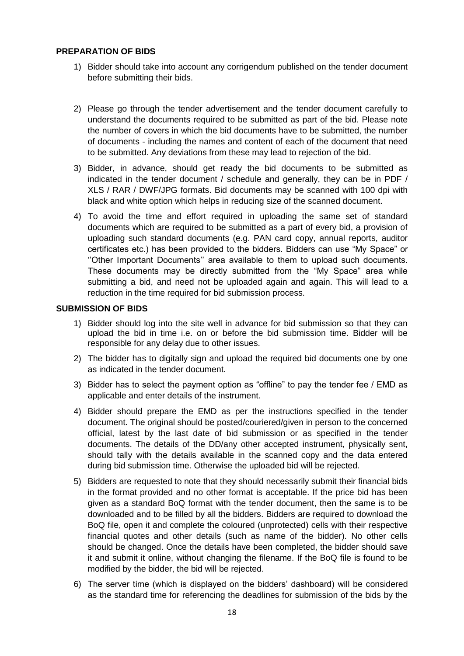### **PREPARATION OF BIDS**

- 1) Bidder should take into account any corrigendum published on the tender document before submitting their bids.
- 2) Please go through the tender advertisement and the tender document carefully to understand the documents required to be submitted as part of the bid. Please note the number of covers in which the bid documents have to be submitted, the number of documents - including the names and content of each of the document that need to be submitted. Any deviations from these may lead to rejection of the bid.
- 3) Bidder, in advance, should get ready the bid documents to be submitted as indicated in the tender document / schedule and generally, they can be in PDF / XLS / RAR / DWF/JPG formats. Bid documents may be scanned with 100 dpi with black and white option which helps in reducing size of the scanned document.
- 4) To avoid the time and effort required in uploading the same set of standard documents which are required to be submitted as a part of every bid, a provision of uploading such standard documents (e.g. PAN card copy, annual reports, auditor certificates etc.) has been provided to the bidders. Bidders can use "My Space" or ''Other Important Documents'' area available to them to upload such documents. These documents may be directly submitted from the "My Space" area while submitting a bid, and need not be uploaded again and again. This will lead to a reduction in the time required for bid submission process.

#### **SUBMISSION OF BIDS**

- 1) Bidder should log into the site well in advance for bid submission so that they can upload the bid in time i.e. on or before the bid submission time. Bidder will be responsible for any delay due to other issues.
- 2) The bidder has to digitally sign and upload the required bid documents one by one as indicated in the tender document.
- 3) Bidder has to select the payment option as "offline" to pay the tender fee / EMD as applicable and enter details of the instrument.
- 4) Bidder should prepare the EMD as per the instructions specified in the tender document. The original should be posted/couriered/given in person to the concerned official, latest by the last date of bid submission or as specified in the tender documents. The details of the DD/any other accepted instrument, physically sent, should tally with the details available in the scanned copy and the data entered during bid submission time. Otherwise the uploaded bid will be rejected.
- 5) Bidders are requested to note that they should necessarily submit their financial bids in the format provided and no other format is acceptable. If the price bid has been given as a standard BoQ format with the tender document, then the same is to be downloaded and to be filled by all the bidders. Bidders are required to download the BoQ file, open it and complete the coloured (unprotected) cells with their respective financial quotes and other details (such as name of the bidder). No other cells should be changed. Once the details have been completed, the bidder should save it and submit it online, without changing the filename. If the BoQ file is found to be modified by the bidder, the bid will be rejected.
- 6) The server time (which is displayed on the bidders' dashboard) will be considered as the standard time for referencing the deadlines for submission of the bids by the